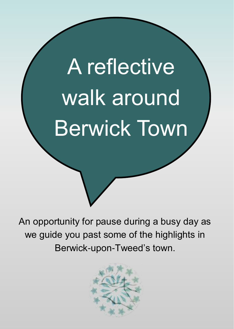# A reflective walk around Berwick Town

An opportunity for pause during a busy day as we guide you past some of the highlights in Berwick-upon-Tweed's town.

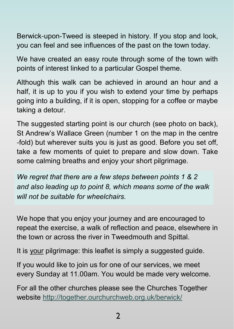Berwick-upon-Tweed is steeped in history. If you stop and look, you can feel and see influences of the past on the town today.

We have created an easy route through some of the town with points of interest linked to a particular Gospel theme.

Although this walk can be achieved in around an hour and a half, it is up to you if you wish to extend your time by perhaps going into a building, if it is open, stopping for a coffee or maybe taking a detour.

The suggested starting point is our church (see photo on back), St Andrew's Wallace Green (number 1 on the map in the centre -fold) but wherever suits you is just as good. Before you set off, take a few moments of quiet to prepare and slow down. Take some calming breaths and enjoy your short pilgrimage.

*We regret that there are a few steps between points 1 & 2 and also leading up to point 8, which means some of the walk will not be suitable for wheelchairs.*

We hope that you enjoy your journey and are encouraged to repeat the exercise, a walk of reflection and peace, elsewhere in the town or across the river in Tweedmouth and Spittal.

It is your pilgrimage: this leaflet is simply a suggested guide.

If you would like to join us for one of our services, we meet every Sunday at 11.00am. You would be made very welcome.

For all the other churches please see the Churches Together website http://together.ourchurchweb.org.uk/berwick/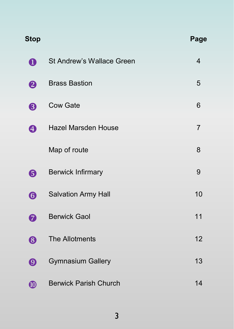| <b>Stop</b>           |                              | Page           |
|-----------------------|------------------------------|----------------|
| $\boldsymbol{0}$      | St Andrew's Wallace Green    | $\overline{4}$ |
| ❷                     | <b>Brass Bastion</b>         | 5              |
| ❸                     | <b>Cow Gate</b>              | 6              |
| ❹                     | Hazel Marsden House          | 7              |
|                       | Map of route                 | 8              |
| ❺                     | <b>Berwick Infirmary</b>     | 9              |
| $\bf \bm \Theta$      | Salvation Army Hall          | 10             |
| 0                     | <b>Berwick Gaol</b>          | 11             |
| 8                     | The Allotments               | 12             |
| $\boldsymbol{\Theta}$ | <b>Gymnasium Gallery</b>     | 13             |
| $\boldsymbol{\Phi}$   | <b>Berwick Parish Church</b> | 14             |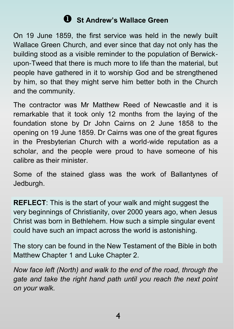## **Q** St Andrew's Wallace Green

On 19 June 1859, the first service was held in the newly built Wallace Green Church, and ever since that day not only has the building stood as a visible reminder to the population of Berwickupon-Tweed that there is much more to life than the material, but people have gathered in it to worship God and be strengthened by him, so that they might serve him better both in the Church and the community.

The contractor was Mr Matthew Reed of Newcastle and it is remarkable that it took only 12 months from the laying of the foundation stone by Dr John Cairns on 2 June 1858 to the opening on 19 June 1859. Dr Cairns was one of the great figures in the Presbyterian Church with a world-wide reputation as a scholar, and the people were proud to have someone of his calibre as their minister.

Some of the stained glass was the work of Ballantynes of Jedburgh.

**REFLECT**: This is the start of your walk and might suggest the very beginnings of Christianity, over 2000 years ago, when Jesus Christ was born in Bethlehem. How such a simple singular event could have such an impact across the world is astonishing.

The story can be found in the New Testament of the Bible in both Matthew Chapter 1 and Luke Chapter 2.

*Now face left (North) and walk to the end of the road, through the gate and take the right hand path until you reach the next point on your walk.*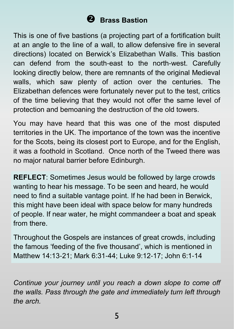## ❖ **Brass Bastion**

This is one of five bastions (a projecting part of a fortification built at an angle to the line of a wall, to allow defensive fire in several directions) located on Berwick's Elizabethan Walls. This bastion can defend from the south-east to the north-west. Carefully looking directly below, there are remnants of the original Medieval walls, which saw plenty of action over the centuries. The Elizabethan defences were fortunately never put to the test, critics of the time believing that they would not offer the same level of protection and bemoaning the destruction of the old towers.

You may have heard that this was one of the most disputed territories in the UK. The importance of the town was the incentive for the Scots, being its closest port to Europe, and for the English, it was a foothold in Scotland. Once north of the Tweed there was no major natural barrier before Edinburgh.

**REFLECT**: Sometimes Jesus would be followed by large crowds wanting to hear his message. To be seen and heard, he would need to find a suitable vantage point. If he had been in Berwick, this might have been ideal with space below for many hundreds of people. If near water, he might commandeer a boat and speak from there.

Throughout the Gospels are instances of great crowds, including the famous 'feeding of the five thousand', which is mentioned in Matthew 14:13-21; Mark 6:31-44; Luke 9:12-17; John 6:1-14

*Continue your journey until you reach a down slope to come off the walls. Pass through the gate and immediately turn left through the arch.*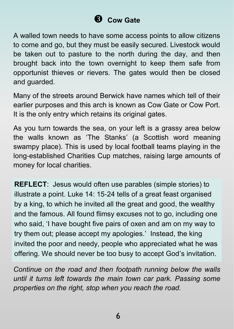# **Cow Gate**

A walled town needs to have some access points to allow citizens to come and go, but they must be easily secured. Livestock would be taken out to pasture to the north during the day, and then brought back into the town overnight to keep them safe from opportunist thieves or rievers. The gates would then be closed and guarded.

Many of the streets around Berwick have names which tell of their earlier purposes and this arch is known as Cow Gate or Cow Port. It is the only entry which retains its original gates.

As you turn towards the sea, on your left is a grassy area below the walls known as 'The Stanks' (a Scottish word meaning swampy place). This is used by local football teams playing in the long-established Charities Cup matches, raising large amounts of money for local charities.

**REFLECT**: Jesus would often use parables (simple stories) to illustrate a point. Luke 14: 15-24 tells of a great feast organised by a king, to which he invited all the great and good, the wealthy and the famous. All found flimsy excuses not to go, including one who said, 'I have bought five pairs of oxen and am on my way to try them out; please accept my apologies.' Instead, the king invited the poor and needy, people who appreciated what he was offering. We should never be too busy to accept God's invitation.

*Continue on the road and then footpath running below the walls until it turns left towards the main town car park. Passing some properties on the right, stop when you reach the road.*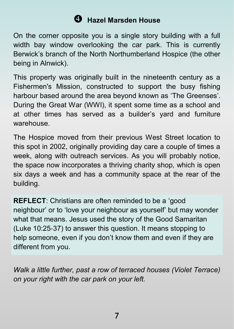## **Hazel Marsden House**

On the corner opposite you is a single story building with a full width bay window overlooking the car park. This is currently Berwick's branch of the North Northumberland Hospice (the other being in Alnwick).

This property was originally built in the nineteenth century as a Fishermen's Mission, constructed to support the busy fishing harbour based around the area beyond known as 'The Greenses'. During the Great War (WWI), it spent some time as a school and at other times has served as a builder's yard and furniture warehouse.

The Hospice moved from their previous West Street location to this spot in 2002, originally providing day care a couple of times a week, along with outreach services. As you will probably notice, the space now incorporates a thriving charity shop, which is open six days a week and has a community space at the rear of the building.

**REFLECT**: Christians are often reminded to be a 'good neighbour' or to 'love your neighbour as yourself' but may wonder what that means. Jesus used the story of the Good Samaritan (Luke 10:25-37) to answer this question. It means stopping to help someone, even if you don't know them and even if they are different from you.

*Walk a little further, past a row of terraced houses (Violet Terrace) on your right with the car park on your left.*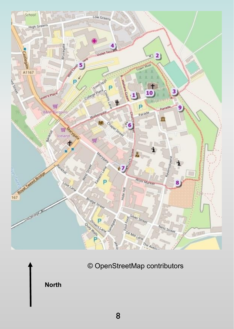

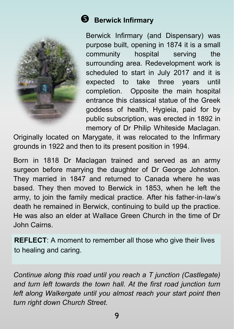

#### **B** Berwick Infirmary

Berwick Infirmary (and Dispensary) was purpose built, opening in 1874 it is a small community hospital serving the surrounding area. Redevelopment work is scheduled to start in July 2017 and it is expected to take three years until completion. Opposite the main hospital entrance this classical statue of the Greek goddess of health, Hygieia, paid for by public subscription, was erected in 1892 in memory of Dr Philip Whiteside Maclagan.

Originally located on Marygate, it was relocated to the Infirmary grounds in 1922 and then to its present position in 1994.

Born in 1818 Dr Maclagan trained and served as an army surgeon before marrying the daughter of Dr George Johnston. They married in 1847 and returned to Canada where he was based. They then moved to Berwick in 1853, when he left the army, to join the family medical practice. After his father-in-law's death he remained in Berwick, continuing to build up the practice. He was also an elder at Wallace Green Church in the time of Dr John Cairns.

**REFLECT**: A moment to remember all those who give their lives to healing and caring.

*Continue along this road until you reach a T junction (Castlegate) and turn left towards the town hall. At the first road junction turn left along Walkergate until you almost reach your start point then turn right down Church Street.*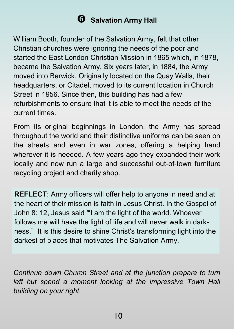#### **G** Salvation Army Hall

William Booth, founder of the Salvation Army, felt that other Christian churches were ignoring the needs of the poor and started the East London Christian Mission in 1865 which, in 1878, became the Salvation Army. Six years later, in 1884, the Army moved into Berwick. Originally located on the Quay Walls, their headquarters, or Citadel, moved to its current location in Church Street in 1956. Since then, this building has had a few refurbishments to ensure that it is able to meet the needs of the current times.

From its original beginnings in London, the Army has spread throughout the world and their distinctive uniforms can be seen on the streets and even in war zones, offering a helping hand wherever it is needed. A few years ago they expanded their work locally and now run a large and successful out-of-town furniture recycling project and charity shop.

**REFLECT**: Army officers will offer help to anyone in need and at the heart of their mission is faith in Jesus Christ. In the Gospel of John 8: 12, Jesus said '"I am the light of the world. Whoever follows me will have the light of life and will never walk in darkness." It is this desire to shine Christ's transforming light into the darkest of places that motivates The Salvation Army.

*Continue down Church Street and at the junction prepare to turn left but spend a moment looking at the impressive Town Hall building on your right.*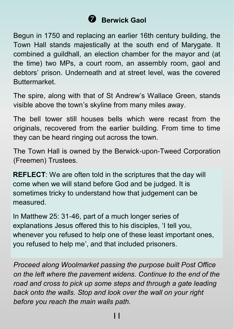# **Berwick Gaol**

Begun in 1750 and replacing an earlier 16th century building, the Town Hall stands majestically at the south end of Marygate. It combined a guildhall, an election chamber for the mayor and (at the time) two MPs, a court room, an assembly room, gaol and debtors' prison. Underneath and at street level, was the covered Buttermarket.

The spire, along with that of St Andrew's Wallace Green, stands visible above the town's skyline from many miles away.

The bell tower still houses bells which were recast from the originals, recovered from the earlier building. From time to time they can be heard ringing out across the town.

The Town Hall is owned by the Berwick-upon-Tweed Corporation (Freemen) Trustees.

**REFLECT**: We are often told in the scriptures that the day will come when we will stand before God and be judged. It is sometimes tricky to understand how that judgement can be measured.

In Matthew 25: 31-46, part of a much longer series of explanations Jesus offered this to his disciples, 'I tell you, whenever you refused to help one of these least important ones, you refused to help me', and that included prisoners.

*Proceed along Woolmarket passing the purpose built Post Office on the left where the pavement widens. Continue to the end of the road and cross to pick up some steps and through a gate leading back onto the walls. Stop and look over the wall on your right before you reach the main walls path.*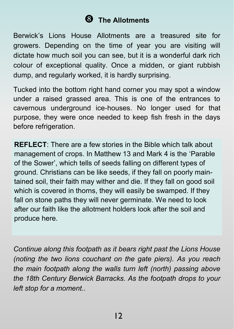# **The Allotments**

Berwick's Lions House Allotments are a treasured site for growers. Depending on the time of year you are visiting will dictate how much soil you can see, but it is a wonderful dark rich colour of exceptional quality. Once a midden, or giant rubbish dump, and regularly worked, it is hardly surprising.

Tucked into the bottom right hand corner you may spot a window under a raised grassed area. This is one of the entrances to cavernous underground ice-houses. No longer used for that purpose, they were once needed to keep fish fresh in the days before refrigeration.

**REFLECT:** There are a few stories in the Bible which talk about management of crops. In Matthew 13 and Mark 4 is the 'Parable of the Sower', which tells of seeds falling on different types of ground. Christians can be like seeds, if they fall on poorly maintained soil, their faith may wither and die. If they fall on good soil which is covered in thorns, they will easily be swamped. If they fall on stone paths they will never germinate. We need to look after our faith like the allotment holders look after the soil and produce here.

*Continue along this footpath as it bears right past the Lions House (noting the two lions couchant on the gate piers). As you reach the main footpath along the walls turn left (north) passing above the 18th Century Berwick Barracks. As the footpath drops to your left stop for a moment..*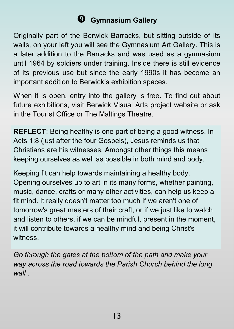# **Gymnasium Gallery**

Originally part of the Berwick Barracks, but sitting outside of its walls, on your left you will see the Gymnasium Art Gallery. This is a later addition to the Barracks and was used as a gymnasium until 1964 by soldiers under training. Inside there is still evidence of its previous use but since the early 1990s it has become an important addition to Berwick's exhibition spaces.

When it is open, entry into the gallery is free. To find out about future exhibitions, visit Berwick Visual Arts project website or ask in the Tourist Office or The Maltings Theatre.

**REFLECT**: Being healthy is one part of being a good witness. In Acts 1:8 (just after the four Gospels), Jesus reminds us that Christians are his witnesses. Amongst other things this means keeping ourselves as well as possible in both mind and body.

Keeping fit can help towards maintaining a healthy body. Opening ourselves up to art in its many forms, whether painting, music, dance, crafts or many other activities, can help us keep a fit mind. It really doesn't matter too much if we aren't one of tomorrow's great masters of their craft, or if we just like to watch and listen to others, if we can be mindful, present in the moment, it will contribute towards a healthy mind and being Christ's witness.

*Go through the gates at the bottom of the path and make your way across the road towards the Parish Church behind the long wall .*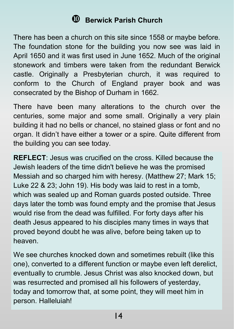#### **Berwick Parish Church**

There has been a church on this site since 1558 or maybe before. The foundation stone for the building you now see was laid in April 1650 and it was first used in June 1652. Much of the original stonework and timbers were taken from the redundant Berwick castle. Originally a Presbyterian church, it was required to conform to the Church of England prayer book and was consecrated by the Bishop of Durham in 1662.

There have been many alterations to the church over the centuries, some major and some small. Originally a very plain building it had no bells or chancel, no stained glass or font and no organ. It didn't have either a tower or a spire. Quite different from the building you can see today.

**REFLECT**: Jesus was crucified on the cross. Killed because the Jewish leaders of the time didn't believe he was the promised Messiah and so charged him with heresy. (Matthew 27; Mark 15; Luke 22 & 23; John 19). His body was laid to rest in a tomb, which was sealed up and Roman guards posted outside. Three days later the tomb was found empty and the promise that Jesus would rise from the dead was fulfilled. For forty days after his death Jesus appeared to his disciples many times in ways that proved beyond doubt he was alive, before being taken up to heaven.

We see churches knocked down and sometimes rebuilt (like this one), converted to a different function or maybe even left derelict, eventually to crumble. Jesus Christ was also knocked down, but was resurrected and promised all his followers of yesterday, today and tomorrow that, at some point, they will meet him in person. Halleluiah!